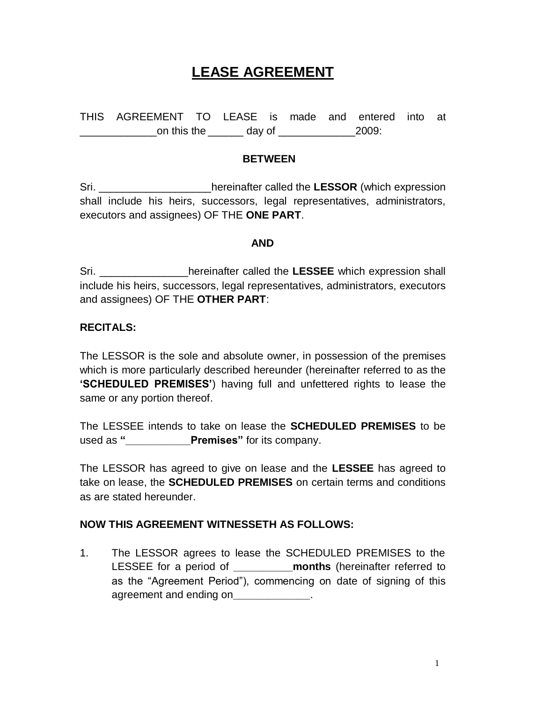# **LEASE AGREEMENT**

THIS AGREEMENT TO LEASE is made and entered into at \_\_\_\_\_\_\_\_\_\_\_\_\_on this the \_\_\_\_\_\_ day of \_\_\_\_\_\_\_\_\_\_\_\_\_2009:

#### **BETWEEN**

Sri. \_\_\_\_\_\_\_\_\_\_\_\_\_\_\_\_\_\_\_hereinafter called the **LESSOR** (which expression shall include his heirs, successors, legal representatives, administrators, executors and assignees) OF THE **ONE PART**.

#### **AND**

Sri. **Example 20 School** expression shall be reinafter called the LESSEE which expression shall include his heirs, successors, legal representatives, administrators, executors and assignees) OF THE **OTHER PART**:

## **RECITALS:**

The LESSOR is the sole and absolute owner, in possession of the premises which is more particularly described hereunder (hereinafter referred to as the **'SCHEDULED PREMISES'**) having full and unfettered rights to lease the same or any portion thereof.

The LESSEE intends to take on lease the **SCHEDULED PREMISES** to be used as **"\_\_\_\_\_\_\_\_\_\_\_Premises"** for its company.

The LESSOR has agreed to give on lease and the **LESSEE** has agreed to take on lease, the **SCHEDULED PREMISES** on certain terms and conditions as are stated hereunder.

### **NOW THIS AGREEMENT WITNESSETH AS FOLLOWS:**

1. The LESSOR agrees to lease the SCHEDULED PREMISES to the LESSEE for a period of **\_\_\_\_\_\_\_\_\_\_months** (hereinafter referred to as the "Agreement Period"), commencing on date of signing of this agreement and ending on**\_\_\_\_\_\_\_\_\_\_\_\_\_**.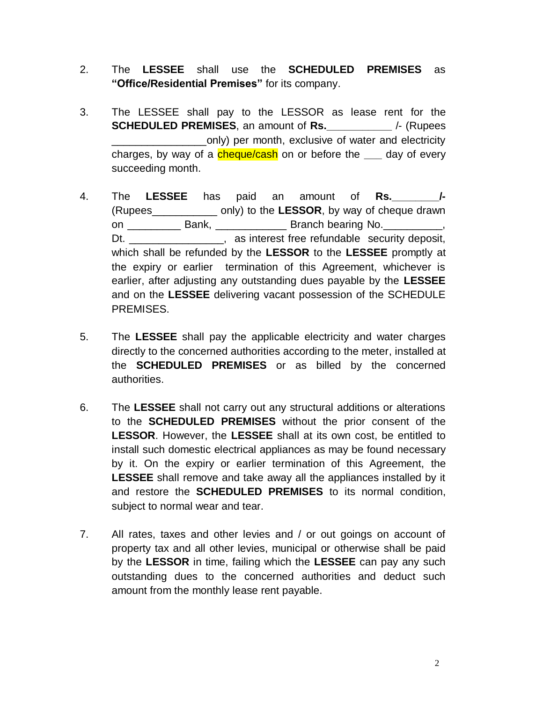- 2. The **LESSEE** shall use the **SCHEDULED PREMISES** as **"Office/Residential Premises"** for its company.
- 3. The LESSEE shall pay to the LESSOR as lease rent for the **SCHEDULED PREMISES**, an amount of **Rs.**  $\left| \begin{array}{c} \text{/(Rupees)} \\ \text{/(Lupees)} \end{array} \right|$ \_only) per month, exclusive of water and electricity charges, by way of a cheque/cash on or before the **\_\_\_** day of every succeeding month.
- 4. The **LESSEE** has paid an amount of **Rs.\_\_\_\_\_\_\_\_/-** (Rupees\_\_\_\_\_\_\_\_\_\_\_ only) to the **LESSOR**, by way of cheque drawn on Bank, Branch bearing No. Dt. \_\_\_\_\_\_\_\_\_\_\_\_\_\_\_\_\_, as interest free refundable security deposit, which shall be refunded by the **LESSOR** to the **LESSEE** promptly at the expiry or earlier termination of this Agreement, whichever is earlier, after adjusting any outstanding dues payable by the **LESSEE**  and on the **LESSEE** delivering vacant possession of the SCHEDULE PREMISES.
- 5. The **LESSEE** shall pay the applicable electricity and water charges directly to the concerned authorities according to the meter, installed at the **SCHEDULED PREMISES** or as billed by the concerned authorities.
- 6. The **LESSEE** shall not carry out any structural additions or alterations to the **SCHEDULED PREMISES** without the prior consent of the **LESSOR**. However, the **LESSEE** shall at its own cost, be entitled to install such domestic electrical appliances as may be found necessary by it. On the expiry or earlier termination of this Agreement, the **LESSEE** shall remove and take away all the appliances installed by it and restore the **SCHEDULED PREMISES** to its normal condition, subject to normal wear and tear.
- 7. All rates, taxes and other levies and / or out goings on account of property tax and all other levies, municipal or otherwise shall be paid by the **LESSOR** in time, failing which the **LESSEE** can pay any such outstanding dues to the concerned authorities and deduct such amount from the monthly lease rent payable.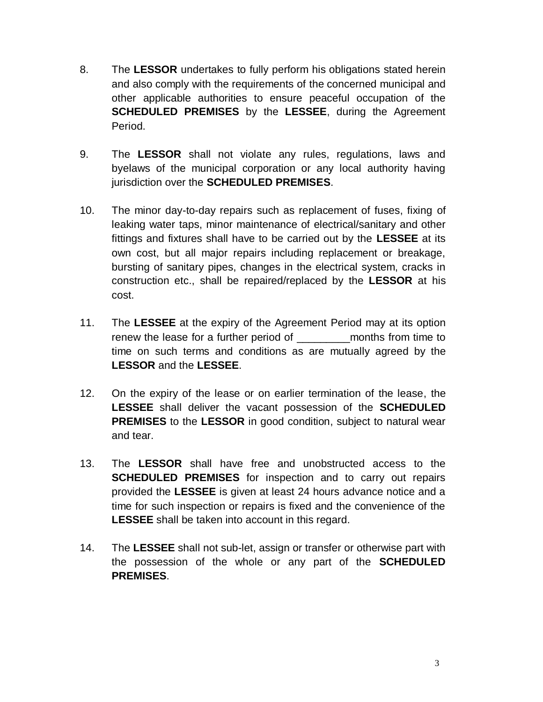- 8. The **LESSOR** undertakes to fully perform his obligations stated herein and also comply with the requirements of the concerned municipal and other applicable authorities to ensure peaceful occupation of the **SCHEDULED PREMISES** by the **LESSEE**, during the Agreement Period.
- 9. The **LESSOR** shall not violate any rules, regulations, laws and byelaws of the municipal corporation or any local authority having jurisdiction over the **SCHEDULED PREMISES**.
- 10. The minor day-to-day repairs such as replacement of fuses, fixing of leaking water taps, minor maintenance of electrical/sanitary and other fittings and fixtures shall have to be carried out by the **LESSEE** at its own cost, but all major repairs including replacement or breakage, bursting of sanitary pipes, changes in the electrical system, cracks in construction etc., shall be repaired/replaced by the **LESSOR** at his cost.
- 11. The **LESSEE** at the expiry of the Agreement Period may at its option renew the lease for a further period of months from time to time on such terms and conditions as are mutually agreed by the **LESSOR** and the **LESSEE**.
- 12. On the expiry of the lease or on earlier termination of the lease, the **LESSEE** shall deliver the vacant possession of the **SCHEDULED PREMISES** to the **LESSOR** in good condition, subject to natural wear and tear.
- 13. The **LESSOR** shall have free and unobstructed access to the **SCHEDULED PREMISES** for inspection and to carry out repairs provided the **LESSEE** is given at least 24 hours advance notice and a time for such inspection or repairs is fixed and the convenience of the **LESSEE** shall be taken into account in this regard.
- 14. The **LESSEE** shall not sub-let, assign or transfer or otherwise part with the possession of the whole or any part of the **SCHEDULED PREMISES**.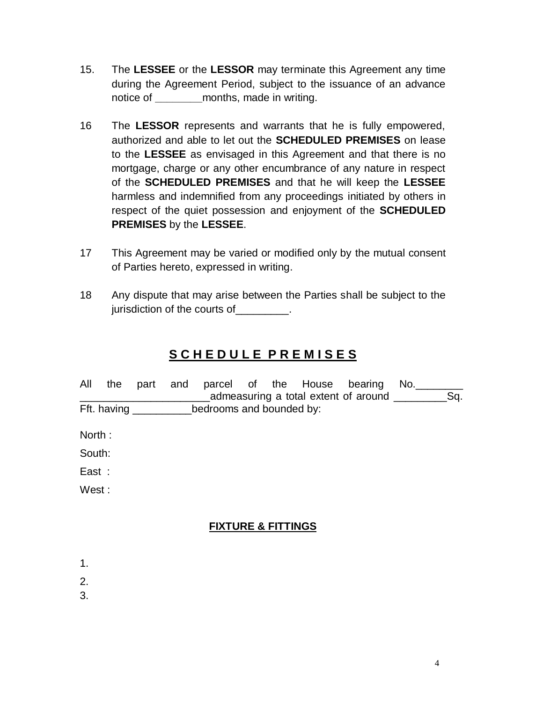- 15. The **LESSEE** or the **LESSOR** may terminate this Agreement any time during the Agreement Period, subject to the issuance of an advance notice of **\_\_\_\_\_\_\_\_**months, made in writing.
- 16 The **LESSOR** represents and warrants that he is fully empowered, authorized and able to let out the **SCHEDULED PREMISES** on lease to the **LESSEE** as envisaged in this Agreement and that there is no mortgage, charge or any other encumbrance of any nature in respect of the **SCHEDULED PREMISES** and that he will keep the **LESSEE**  harmless and indemnified from any proceedings initiated by others in respect of the quiet possession and enjoyment of the **SCHEDULED PREMISES** by the **LESSEE**.
- 17 This Agreement may be varied or modified only by the mutual consent of Parties hereto, expressed in writing.
- 18 Any dispute that may arise between the Parties shall be subject to the jurisdiction of the courts of \_\_\_\_\_\_\_\_.

# **S C H E D U L E P R E M I S E S**

|        | All the part and |  |                                                   |  | parcel of the House bearing No.<br>admeasuring a total extent of around ______________Sq. |  |
|--------|------------------|--|---------------------------------------------------|--|-------------------------------------------------------------------------------------------|--|
|        |                  |  | Fft. having _____________bedrooms and bounded by: |  |                                                                                           |  |
| North: |                  |  |                                                   |  |                                                                                           |  |
| South: |                  |  |                                                   |  |                                                                                           |  |
| East : |                  |  |                                                   |  |                                                                                           |  |
| West:  |                  |  |                                                   |  |                                                                                           |  |
|        |                  |  | <b>FIXTURE &amp; FITTINGS</b>                     |  |                                                                                           |  |
| 1.     |                  |  |                                                   |  |                                                                                           |  |
| 2.     |                  |  |                                                   |  |                                                                                           |  |
| 3.     |                  |  |                                                   |  |                                                                                           |  |

4